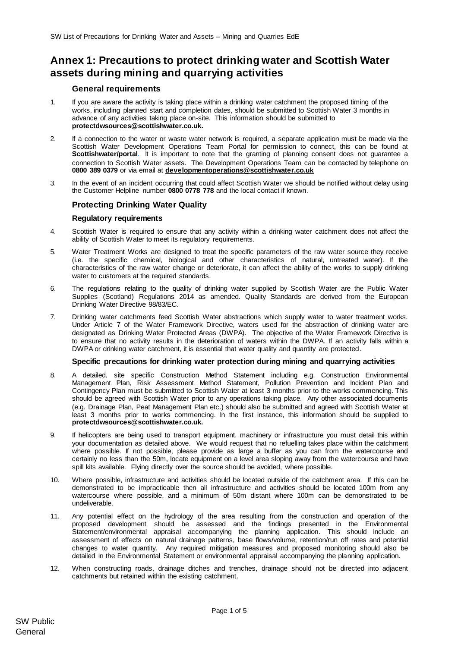# **Annex 1: Precautions to protect drinking water and Scottish Water assets during mining and quarrying activities**

## **General requirements**

- 1. If you are aware the activity is taking place within a drinking water catchment the proposed timing of the works, including planned start and completion dates, should be submitted to Scottish Water 3 months in advance of any activities taking place on-site. This information should be submitted to **protectdwsources@scottishwater.co.uk.**
- 2. If a connection to the water or waste water network is required, a separate application must be made via the Scottish Water Development Operations Team Portal for permission to connect, this can be found at **Scottishwater/portal**. It is important to note that the granting of planning consent does not guarantee a connection to Scottish Water assets. The Development Operations Team can be contacted by telephone on **0800 389 0379** or via email at **[developmentoperations@scottishwater.co.uk](mailto:developmentoperations@scottishwater.co.uk)**
- 3. In the event of an incident occurring that could affect Scottish Water we should be notified without delay using the Customer Helpline number **0800 0778 778** and the local contact if known.

# **Protecting Drinking Water Quality**

## **Regulatory requirements**

- 4. Scottish Water is required to ensure that any activity within a drinking water catchment does not affect the ability of Scottish Water to meet its regulatory requirements.
- 5. Water Treatment Works are designed to treat the specific parameters of the raw water source they receive (i.e. the specific chemical, biological and other characteristics of natural, untreated water). If the characteristics of the raw water change or deteriorate, it can affect the ability of the works to supply drinking water to customers at the required standards.
- 6. The regulations relating to the quality of drinking water supplied by Scottish Water are the Public Water Supplies (Scotland) Regulations 2014 as amended. Quality Standards are derived from the European Drinking Water Directive 98/83/EC.
- 7. Drinking water catchments feed Scottish Water abstractions which supply water to water treatment works. Under Article 7 of the Water Framework Directive, waters used for the abstraction of drinking water are designated as Drinking Water Protected Areas (DWPA). The objective of the Water Framework Directive is to ensure that no activity results in the deterioration of waters within the DWPA. If an activity falls within a DWPA or drinking water catchment, it is essential that water quality and quantity are protected.

## **Specific precautions for drinking water protection during mining and quarrying activities**

- 8. A detailed, site specific Construction Method Statement including e.g. Construction Environmental Management Plan, Risk Assessment Method Statement, Pollution Prevention and Incident Plan and Contingency Plan must be submitted to Scottish Water at least 3 months prior to the works commencing. This should be agreed with Scottish Water prior to any operations taking place. Any other associated documents (e.g. Drainage Plan, Peat Management Plan etc.) should also be submitted and agreed with Scottish Water at least 3 months prior to works commencing. In the first instance, this information should be supplied to **protectdwsources@scottishwater.co.uk.**
- 9. If helicopters are being used to transport equipment, machinery or infrastructure you must detail this within your documentation as detailed above. We would request that no refuelling takes place within the catchment where possible. If not possible, please provide as large a buffer as you can from the watercourse and certainly no less than the 50m, locate equipment on a level area sloping away from the watercourse and have spill kits available. Flying directly over the source should be avoided, where possible.
- 10. Where possible, infrastructure and activities should be located outside of the catchment area. If this can be demonstrated to be impracticable then all infrastructure and activities should be located 100m from any watercourse where possible, and a minimum of 50m distant where 100m can be demonstrated to be undeliverable.
- 11. Any potential effect on the hydrology of the area resulting from the construction and operation of the proposed development should be assessed and the findings presented in the Environmental Statement/environmental appraisal accompanying the planning application. This should include an assessment of effects on natural drainage patterns, base flows/volume, retention/run off rates and potential changes to water quantity. Any required mitigation measures and proposed monitoring should also be detailed in the Environmental Statement or environmental appraisal accompanying the planning application.
- 12. When constructing roads, drainage ditches and trenches, drainage should not be directed into adjacent catchments but retained within the existing catchment.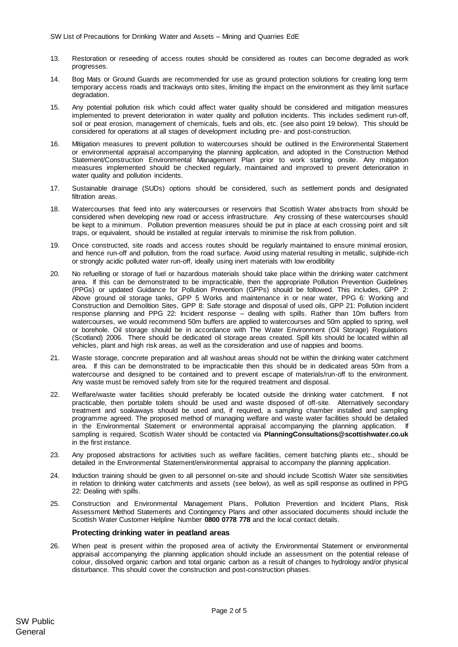- 13. Restoration or reseeding of access routes should be considered as routes can become degraded as work progresses.
- 14. Bog Mats or Ground Guards are recommended for use as ground protection solutions for creating long term temporary access roads and trackways onto sites, limiting the impact on the environment as they limit surface degradation
- 15. Any potential pollution risk which could affect water quality should be considered and mitigation measures implemented to prevent deterioration in water quality and pollution incidents. This includes sediment run-off, soil or peat erosion, management of chemicals, fuels and oils, etc. (see also poin[t 19](#page-1-0) below). This should be considered for operations at all stages of development including pre- and post-construction.
- 16. Mitigation measures to prevent pollution to watercourses should be outlined in the Environmental Statement or environmental appraisal accompanying the planning application, and adopted in the Construction Method Statement/Construction Environmental Management Plan prior to work starting onsite. Any mitigation measures implemented should be checked regularly, maintained and improved to prevent deterioration in water quality and pollution incidents.
- 17. Sustainable drainage (SUDs) options should be considered, such as settlement ponds and designated filtration areas.
- 18. Watercourses that feed into any watercourses or reservoirs that Scottish Water abstracts from should be considered when developing new road or access infrastructure. Any crossing of these watercourses should be kept to a minimum. Pollution prevention measures should be put in place at each crossing point and silt traps, or equivalent, should be installed at regular intervals to minimise the risk from pollution.
- 19. Once constructed, site roads and access routes should be regularly maintained to ensure minimal erosion, and hence run-off and pollution, from the road surface. Avoid using material resulting in metallic, sulphide-rich or strongly acidic polluted water run-off, ideally using inert materials with low erodibility
- <span id="page-1-0"></span>20. No refuelling or storage of fuel or hazardous materials should take place within the drinking water catchment area. If this can be demonstrated to be impracticable, then the appropriate Pollution Prevention Guidelines (PPGs) or updated Guidance for Pollution Prevention (GPPs) should be followed. This includes, GPP 2: Above ground oil storage tanks, GPP 5 Works and maintenance in or near water, PPG 6: Working and Construction and Demolition Sites, GPP 8: Safe storage and disposal of used oils, GPP 21: Pollution incident response planning and PPG 22: Incident response – dealing with spills. Rather than 10m buffers from watercourses, we would recommend 50m buffers are applied to watercourses and 50m applied to spring, well or borehole. Oil storage should be in accordance with The Water Environment (Oil Storage) Regulations (Scotland) 2006. There should be dedicated oil storage areas created. Spill kits should be located within all vehicles, plant and high risk areas, as well as the consideration and use of nappies and booms.
- 21. Waste storage, concrete preparation and all washout areas should not be within the drinking water catchment area. If this can be demonstrated to be impracticable then this should be in dedicated areas 50m from a watercourse and designed to be contained and to prevent escape of materials/run-off to the environment. Any waste must be removed safely from site for the required treatment and disposal.
- 22. Welfare/waste water facilities should preferably be located outside the drinking water catchment. If not practicable, then portable toilets should be used and waste disposed of off-site. Alternatively secondary treatment and soakaways should be used and, if required, a sampling chamber installed and sampling programme agreed. The proposed method of managing welfare and waste water facilities should be detailed in the Environmental Statement or environmental appraisal accompanying the planning application. If sampling is required, Scottish Water should be contacted via **PlanningConsultations@scottishwater.co.uk** in the first instance.
- 23. Any proposed abstractions for activities such as welfare facilities, cement batching plants etc., should be detailed in the Environmental Statement/environmental appraisal to accompany the planning application.
- 24. Induction training should be given to all personnel on-site and should include Scottish Water site sensitivities in relation to drinking water catchments and assets (see below), as well as spill response as outlined in PPG 22: Dealing with spills.
- 25. Construction and Environmental Management Plans, Pollution Prevention and Incident Plans, Risk Assessment Method Statements and Contingency Plans and other associated documents should include the Scottish Water Customer Helpline Number **0800 0778 778** and the local contact details.

#### **Protecting drinking water in peatland areas**

26. When peat is present within the proposed area of activity the Environmental Statement or environmental appraisal accompanying the planning application should include an assessment on the potential release of colour, dissolved organic carbon and total organic carbon as a result of changes to hydrology and/or physical disturbance. This should cover the construction and post-construction phases.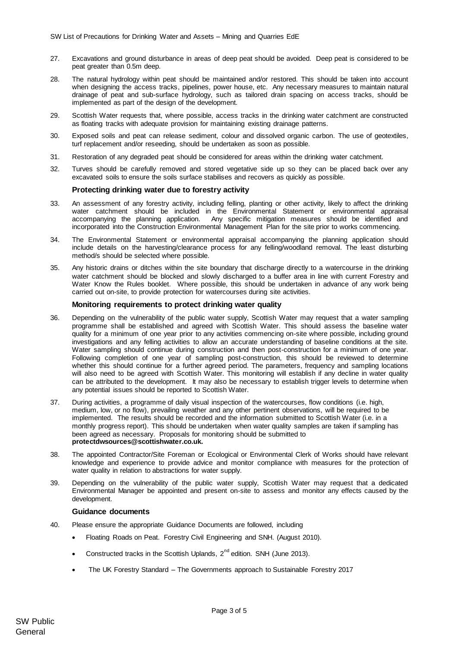- 27. Excavations and ground disturbance in areas of deep peat should be avoided. Deep peat is considered to be peat greater than 0.5m deep.
- 28. The natural hydrology within peat should be maintained and/or restored. This should be taken into account when designing the access tracks, pipelines, power house, etc. Any necessary measures to maintain natural drainage of peat and sub-surface hydrology, such as tailored drain spacing on access tracks, should be implemented as part of the design of the development.
- 29. Scottish Water requests that, where possible, access tracks in the drinking water catchment are constructed as floating tracks with adequate provision for maintaining existing drainage patterns.
- 30. Exposed soils and peat can release sediment, colour and dissolved organic carbon. The use of geotextiles, turf replacement and/or reseeding, should be undertaken as soon as possible.
- 31. Restoration of any degraded peat should be considered for areas within the drinking water catchment.
- 32. Turves should be carefully removed and stored vegetative side up so they can be placed back over any excavated soils to ensure the soils surface stabilises and recovers as quickly as possible.

## **Protecting drinking water due to forestry activity**

- 33. An assessment of any forestry activity, including felling, planting or other activity, likely to affect the drinking water catchment should be included in the Environmental Statement or environmental appraisal accompanying the planning application. Any specific mitigation measures should be identified and incorporated into the Construction Environmental Management Plan for the site prior to works commencing.
- 34. The Environmental Statement or environmental appraisal accompanying the planning application should include details on the harvesting/clearance process for any felling/woodland removal. The least disturbing method/s should be selected where possible.
- 35. Any historic drains or ditches within the site boundary that discharge directly to a watercourse in the drinking water catchment should be blocked and slowly discharged to a buffer area in line with current Forestry and Water Know the Rules booklet. Where possible, this should be undertaken in advance of any work being carried out on-site, to provide protection for watercourses during site activities.

#### **Monitoring requirements to protect drinking water quality**

- 36. Depending on the vulnerability of the public water supply, Scottish Water may request that a water sampling programme shall be established and agreed with Scottish Water. This should assess the baseline water quality for a minimum of one year prior to any activities commencing on-site where possible, including ground investigations and any felling activities to allow an accurate understanding of baseline conditions at the site. Water sampling should continue during construction and then post-construction for a minimum of one year. Following completion of one year of sampling post-construction, this should be reviewed to determine whether this should continue for a further agreed period. The parameters, frequency and sampling locations will also need to be agreed with Scottish Water. This monitoring will establish if any decline in water quality can be attributed to the development. It may also be necessary to establish trigger levels to determine when any potential issues should be reported to Scottish Water.
- 37. During activities, a programme of daily visual inspection of the watercourses, flow conditions (i.e. high, medium, low, or no flow), prevailing weather and any other pertinent observations, will be required to be implemented. The results should be recorded and the information submitted to Scottish Water (i.e. in a monthly progress report). This should be undertaken when water quality samples are taken if sampling has been agreed as necessary. Proposals for monitoring should be submitted to **protectdwsources@scottishwater.co.uk.**
- 38. The appointed Contractor/Site Foreman or Ecological or Environmental Clerk of Works should have relevant knowledge and experience to provide advice and monitor compliance with measures for the protection of water quality in relation to abstractions for water supply.
- 39. Depending on the vulnerability of the public water supply, Scottish Water may request that a dedicated Environmental Manager be appointed and present on-site to assess and monitor any effects caused by the development.

#### **Guidance documents**

- 40. Please ensure the appropriate Guidance Documents are followed, including
	- Floating Roads on Peat. Forestry Civil Engineering and SNH. (August 2010).
	- Constructed tracks in the Scottish Uplands,  $2^{nd}$  edition. SNH (June 2013).
	- The UK Forestry Standard The Governments approach to Sustainable Forestry 2017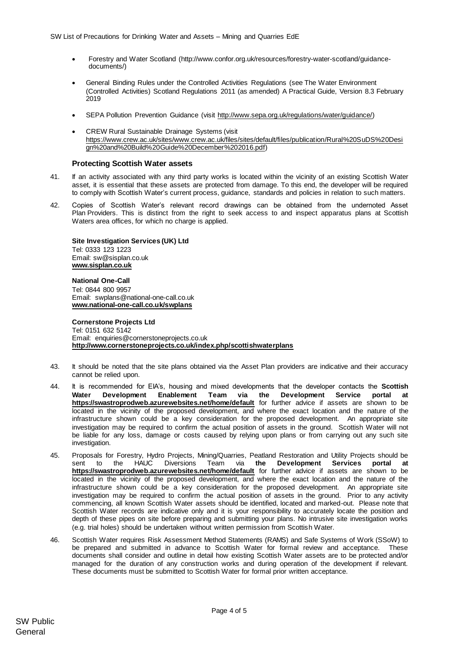- Forestry and Water Scotland (http://www.confor.org.uk/resources/forestry-water-scotland/guidancedocuments/)
- General Binding Rules under the Controlled Activities Regulations (see The Water Environment (Controlled Activities) Scotland Regulations 2011 (as amended) A Practical Guide, Version 8.3 February 2019
- SEPA Pollution Prevention Guidance (visit [http://www.sepa.org.uk/regulations/water/guidance/\)](http://www.sepa.org.uk/regulations/water/guidance/)
- CREW Rural Sustainable Drainage Systems (visit [https://www.crew.ac.uk/sites/www.crew.ac.uk/files/sites/default/files/publication/Rural%20SuDS%20Desi](https://www.crew.ac.uk/sites/www.crew.ac.uk/files/sites/default/files/publication/Rural%20SuDS%20Design%20and%20Build%20Guide%20December%202016.pdf) [gn%20and%20Build%20Guide%20December%202016.pdf\)](https://www.crew.ac.uk/sites/www.crew.ac.uk/files/sites/default/files/publication/Rural%20SuDS%20Design%20and%20Build%20Guide%20December%202016.pdf)

#### **Protecting Scottish Water assets**

- 41. If an activity associated with any third party works is located within the vicinity of an existing Scottish Water asset, it is essential that these assets are protected from damage. To this end, the developer will be required to comply with Scottish Water's current process, guidance, standards and policies in relation to such matters.
- 42. Copies of Scottish Water's relevant record drawings can be obtained from the undernoted Asset Plan Providers. This is distinct from the right to seek access to and inspect apparatus plans at Scottish Waters area offices, for which no charge is applied.

**Site Investigation Services (UK) Ltd** Tel: 0333 123 1223 Email: sw@sisplan.co.uk **[www.sisplan.co.uk](http://www.sisplan.co.uk/)**

**National One-Call** Tel: 0844 800 9957 Email: swplans@national-one-call.co.uk **[www.national-one-call.co.uk/swplans](http://www.national-one-call.co.uk/swplans)**

**Cornerstone Projects Ltd**  Tel: 0151 632 5142 Email: [enquiries@cornerstoneprojects.co.uk](mailto:enquiries@cornerstoneprojects.co.uk) **http://www.cornerstoneprojects.co.uk/index.php/scottishwaterplans**

- 43. It should be noted that the site plans obtained via the Asset Plan providers are indicative and their accuracy cannot be relied upon.
- 44. It is recommended for EIA's, housing and mixed developments that the developer contacts the **Scottish Water [Development](mailto:Development) Enablement Team via the Development Service portal at <https://swastroprodweb.azurewebsites.net/home/default>** for further advice if assets are shown to be located in the vicinity of the proposed development, and where the exact location and the nature of the infrastructure shown could be a key consideration for the proposed development. An appropriate site investigation may be required to confirm the actual position of assets in the ground. Scottish Water will not be liable for any loss, damage or costs caused by relying upon plans or from carrying out any such site investigation.
- 45. Proposals for Forestry, Hydro Projects, Mining/Quarries, Peatland Restoration and Utility Projects should be sent to the HAUC Diversions Team via **[the](mailto:Hauc.diversions@scottishwater.co.uk) Development Services portal at <https://swastroprodweb.azurewebsites.net/home/default>** for further advice if assets are shown to be located in the vicinity of the proposed development, and where the exact location and the nature of the infrastructure shown could be a key consideration for the proposed development. An appropriate site investigation may be required to confirm the actual position of assets in the ground. Prior to any activity commencing, all known Scottish Water assets should be identified, located and marked-out. Please note that Scottish Water records are indicative only and it is your responsibility to accurately locate the position and depth of these pipes on site before preparing and submitting your plans. No intrusive site investigation works (e.g. trial holes) should be undertaken without written permission from Scottish Water.
- 46. Scottish Water requires Risk Assessment Method Statements (RAMS) and Safe Systems of Work (SSoW) to be prepared and submitted in advance to Scottish Water for formal review and acceptance. These documents shall consider and outline in detail how existing Scottish Water assets are to be protected and/or managed for the duration of any construction works and during operation of the development if relevant. These documents must be submitted to Scottish Water for formal prior written acceptance.